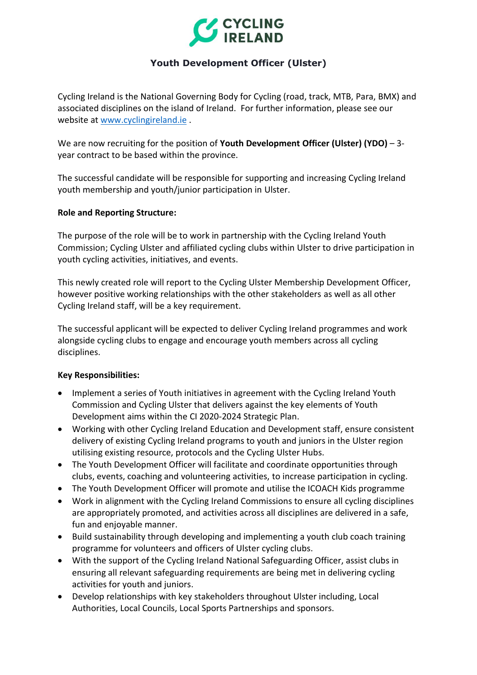

# **Youth Development Officer (Ulster)**

Cycling Ireland is the National Governing Body for Cycling (road, track, MTB, Para, BMX) and associated disciplines on the island of Ireland. For further information, please see our website at [www.cyclingireland.ie](http://www.cyclingireland.ie/) .

We are now recruiting for the position of **Youth Development Officer (Ulster) (YDO)** – 3 year contract to be based within the province.

The successful candidate will be responsible for supporting and increasing Cycling Ireland youth membership and youth/junior participation in Ulster.

### **Role and Reporting Structure:**

The purpose of the role will be to work in partnership with the Cycling Ireland Youth Commission; Cycling Ulster and affiliated cycling clubs within Ulster to drive participation in youth cycling activities, initiatives, and events.

This newly created role will report to the Cycling Ulster Membership Development Officer, however positive working relationships with the other stakeholders as well as all other Cycling Ireland staff, will be a key requirement.

The successful applicant will be expected to deliver Cycling Ireland programmes and work alongside cycling clubs to engage and encourage youth members across all cycling disciplines.

#### **Key Responsibilities:**

- Implement a series of Youth initiatives in agreement with the Cycling Ireland Youth Commission and Cycling Ulster that delivers against the key elements of Youth Development aims within the CI 2020-2024 Strategic Plan.
- Working with other Cycling Ireland Education and Development staff, ensure consistent delivery of existing Cycling Ireland programs to youth and juniors in the Ulster region utilising existing resource, protocols and the Cycling Ulster Hubs.
- The Youth Development Officer will facilitate and coordinate opportunities through clubs, events, coaching and volunteering activities, to increase participation in cycling.
- The Youth Development Officer will promote and utilise the ICOACH Kids programme
- Work in alignment with the Cycling Ireland Commissions to ensure all cycling disciplines are appropriately promoted, and activities across all disciplines are delivered in a safe, fun and enjoyable manner.
- Build sustainability through developing and implementing a youth club coach training programme for volunteers and officers of Ulster cycling clubs.
- With the support of the Cycling Ireland National Safeguarding Officer, assist clubs in ensuring all relevant safeguarding requirements are being met in delivering cycling activities for youth and juniors.
- Develop relationships with key stakeholders throughout Ulster including, Local Authorities, Local Councils, Local Sports Partnerships and sponsors.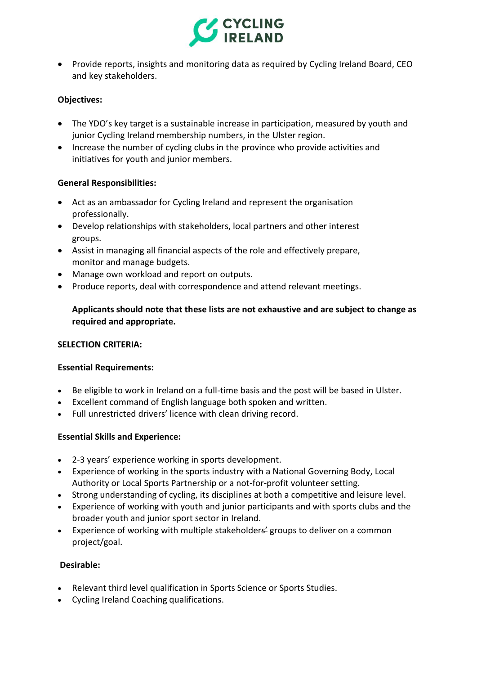

• Provide reports, insights and monitoring data as required by Cycling Ireland Board, CEO and key stakeholders.

# **Objectives:**

- The YDO's key target is a sustainable increase in participation, measured by youth and junior Cycling Ireland membership numbers, in the Ulster region.
- Increase the number of cycling clubs in the province who provide activities and initiatives for youth and junior members.

#### **General Responsibilities:**

- Act as an ambassador for Cycling Ireland and represent the organisation professionally.
- Develop relationships with stakeholders, local partners and other interest groups.
- Assist in managing all financial aspects of the role and effectively prepare, monitor and manage budgets.
- Manage own workload and report on outputs.
- Produce reports, deal with correspondence and attend relevant meetings.

# **Applicants should note that these lists are not exhaustive and are subject to change as required and appropriate.**

#### **SELECTION CRITERIA:**

#### **Essential Requirements:**

- Be eligible to work in Ireland on a full-time basis and the post will be based in Ulster.
- Excellent command of English language both spoken and written.
- Full unrestricted drivers' licence with clean driving record.

#### **Essential Skills and Experience:**

- 2-3 years' experience working in sports development.
- Experience of working in the sports industry with a National Governing Body, Local Authority or Local Sports Partnership or a not-for-profit volunteer setting.
- Strong understanding of cycling, its disciplines at both a competitive and leisure level.
- Experience of working with youth and junior participants and with sports clubs and the broader youth and junior sport sector in Ireland.
- Experience of working with multiple stakeholders' groups to deliver on a common project/goal.

#### **Desirable:**

- Relevant third level qualification in Sports Science or Sports Studies.
- Cycling Ireland Coaching qualifications.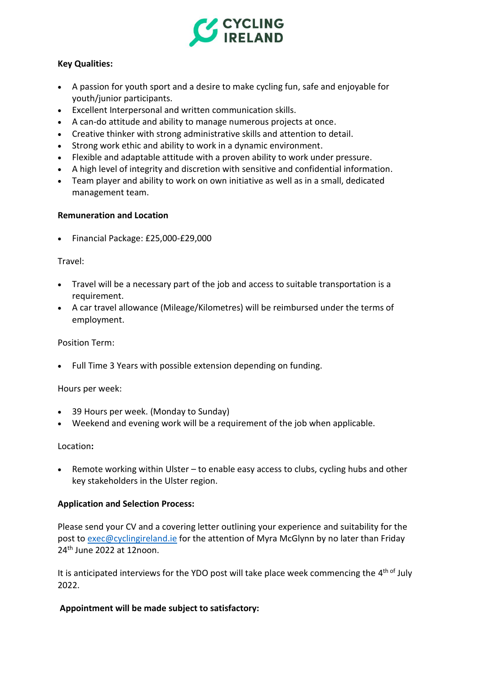

# **Key Qualities:**

- A passion for youth sport and a desire to make cycling fun, safe and enjoyable for youth/junior participants.
- Excellent Interpersonal and written communication skills.
- A can-do attitude and ability to manage numerous projects at once.
- Creative thinker with strong administrative skills and attention to detail.
- Strong work ethic and ability to work in a dynamic environment.
- Flexible and adaptable attitude with a proven ability to work under pressure.
- A high level of integrity and discretion with sensitive and confidential information.
- Team player and ability to work on own initiative as well as in a small, dedicated management team.

#### **Remuneration and Location**

• Financial Package: £25,000-£29,000

#### Travel:

- Travel will be a necessary part of the job and access to suitable transportation is a requirement.
- A car travel allowance (Mileage/Kilometres) will be reimbursed under the terms of employment.

#### Position Term:

• Full Time 3 Years with possible extension depending on funding.

#### Hours per week:

- 39 Hours per week. (Monday to Sunday)
- Weekend and evening work will be a requirement of the job when applicable.

#### Location**:**

• Remote working within Ulster – to enable easy access to clubs, cycling hubs and other key stakeholders in the Ulster region.

#### **Application and Selection Process:**

Please send your CV and a covering letter outlining your experience and suitability for the post to [exec@cyclingireland.ie](mailto:exec@cyclingireland.ie) for the attention of Myra McGlynn by no later than Friday 24th June 2022 at 12noon.

It is anticipated interviews for the YDO post will take place week commencing the 4<sup>th of</sup> July 2022.

#### **Appointment will be made subject to satisfactory:**